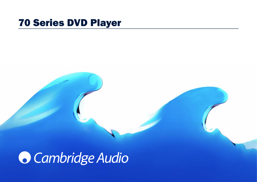## 70 Series DVD Player

# **O** Cambridge Audio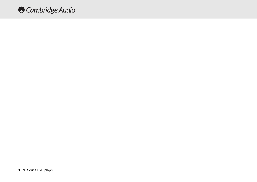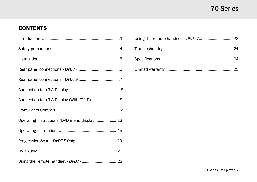### **CONTENTS**

| Connection to a TV/Display (With DVI-D)9    |  |
|---------------------------------------------|--|
|                                             |  |
| Operating instructions (DVD menu display)13 |  |
|                                             |  |
|                                             |  |
|                                             |  |
|                                             |  |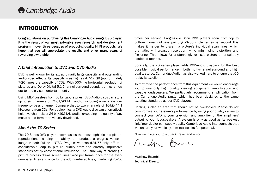### INTRODUCTION

Congratulations on purchasing this Cambridge Audio range DVD player. It is the result of our most extensive ever research and development program in over three decades of producing quality Hi Fi products. We hope that you will appreciate the results and enjoy many years of rewarding ownership.

#### *A brief introduction to DVD and DVD Audio*

DVD is well known for its extraordinarily large capacity and outstanding audio-video effects. Its capacity is as high as 4.7-17 GB (approximately 7-26 times the capacity of CD). With 500-line horizontal resolution of pictures and Dolby Digital 5.1 Channel surround sound, it brings a new era to audio visual entertainment .

Using MLP Lossless from Dolby Laboratories, DVD-Audio discs can store up to six channels of 24-bit/96 kHz audio, including a separate lowfrequency bass channel. Compare that to two channels of 16-bit/44.1 kHz sound from CDs! For audiophiles, a DVD-Audio disc can alternatively hold two channels of 24-bit/192 kHz audio, exceeding the quality of any music audio format previously developed.

#### *About the 70 Series*

The 70 Series DVD player encompasses the most sophisticated picture reproduction, including the ability to reproduce a progressive scan image in both PAL and NTSC. Progressive scan (DVD77 only) offers a considerable leap in picture quality from the already impressive standards set by conventional DVD-Video. The usual way of creating a picture process draws screen lines twice per frame: once for the evennumbered lines and once for the odd-numbered lines, interlacing 25/30 times per second. Progressive Scan DVD players scan from top to bottom in one fluid pass, painting 50/60 whole frames per second. This makes it harder to discern a picture's individual scan lines, which dramatically increases resolution while minimising distortion and flickering. This allows for a stunningly realistic picture on a suitably equipped monitor.

Sonically, the 70 series player adds DVD-Audio playback for the best possible musical performance in both multi-channel surround and high quality stereo. Cambridge Audio has also worked hard to ensure that CD replay is excellent.

To maximise the performance from this equipment we would encourage you to use only high quality viewing equipment, amplification and capable loudspeakers. We particularly recommend amplification from the Cambridge Audio range, which has been designed to the same exacting standards as our DVD players.

Cabling is also an area that should not be overlooked. Please do not compromise your system's performance by using poor quality cables to connect your DVD to your television and amplifier or the amplifiers' output to your loudspeakers. A system is only as good as its weakest link. Your dealer can supply quality Cambridge Audio interconnects that will ensure your whole system realises its full potential.

Now we invite you to sit back, relax and enjoy!

Mother Branch

Matthew Bramble Technical Director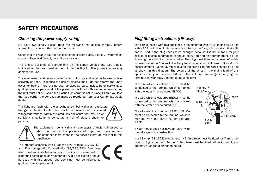### SAFETY PRECAUTIONS

#### *Checking the power supply rating*

For your own safety please read the following instructions carefully before attempting to connect this unit to the mains.

Check that the rear of your unit indicates the correct supply voltage. If your mains supply voltage is different, consult your dealer.

This unit is designed to operate only on the supply voltage and type that is indicated on the rear panel of the unit. Connecting to other power sources may damage the unit.

This equipment must be switched off when not in use and must not be used unless correctly earthed. To reduce the risk of electric shock, do not remove the unit's cover (or back). There are no user serviceable parts inside. Refer servicing to qualified service personnel. If the power cord is fitted with a moulded mains plug the unit must not be used if the plastic fuse carrier is not in place. Should you lose the fuse carrier the correct part must be reordered from your Cambridge Audio dealer.

The lightning flash with the arrowhead symbol within an equilateral triangle is intended to alert the user to the presence of uninsulated 'dangerous voltage' within the product's enclosure that may be of sufficient magnitude to constitute a risk of electric shock to persons.





The exclamation point within an equilateral triangle is intended to alert the user to the presence of important operating and maintenance instructions in the service literature relevant to this appliance.

This product complies with European Low Voltage (73/23/EEC) and Electromagnetic Compatibility (89/336/EEC) Directives when used and installed according to this instruction manual. For continued compliance only Cambridge Audio accessories should be used with this product and servicing must be referred to qualified service personnel.



The cord supplied with this appliance is factory fitted with a 13A mains plug fitted with a 3A fuse inside. If it is necessary to change the fuse, it is important that a 3A one is used. If the plug needs to be changed because it is not suitable for your socket, or becomes damaged, it should be cut off and an appropriate plug fitted following the wiring instructions below. The plug must then be disposed of safely, as insertion into a 13A socket is likely to cause an electrical hazard. Should it be necessary to fit a 3-pin BS mains plug to the power cord the wires should be fitted as shown in this diagram. The colours of the wires in the mains lead of this appliance may not correspond with the coloured markings identifying the terminals in your plug. Connect them as follows:-

The wire which is coloured BLUE must be connected to the terminal which is marked with the letter 'N' or coloured BLACK.

The wire which is coloured BROWN must be connected to the terminal which is marked with the letter 'L' or coloured RED

The wire which is coloured GREEN/YELLOW must be connected to the terminal which is marked with the letter 'E' or coloured **GREEN** 

If your model does not have an earth wire, then disregard this instruction.

If a 13 Amp (BS 1363) plug is used, a 3 Amp fuse must be fitted, or if any other type of plug is used a 3 Amp or 5 Amp fuse must be fitted, either in the plug or adaptor, or on the distribution board.

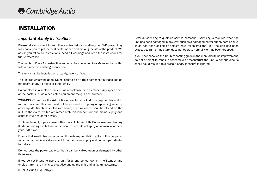### **Cambridge Audio**

### INSTAL LATION

#### *Important Safety Instructions*

Please take a moment to read these notes before installing your DVD player, they will enable you to get the best performance and prolong the life of the product. We advise you follow all instructions, heed all warnings and keep the instructions for future reference.

The unit is of Class 1 construction and must be connected to a Mains socket outlet with a protective earthing connection.

This unit must be installed on a sturdy, level surface.

The unit requires ventilation. Do not situate it on a rug or other soft surface and do not obstruct any air inlets or outlet grills.

Do not place in a sealed area such as a bookcase or in a cabinet. Any space open at the back (such as a dedicated equipment rack) is fine however.

WARNING - To reduce the risk of fire or electric shock, do not expose this unit to rain or moisture. This unit must not be exposed to dripping or splashing water or other liquids. No objects filled with liquid, such as vases, shall be placed on the unit. In the event, switch off immediately, disconnect from the mains supply and contact your dealer for advice.

To clean the unit, wipe its case with a moist, lint-free cloth. Do not use any cleaning fluids containing alcohol, ammonia or abrasives. Do not spray an aerosol at or near your DVD player.

Ensure that small objects do not fall through any ventilation grille. If this happens, switch off immediately, disconnect from the mains supply and contact your dealer for advice.

Do not route the power cable so that it can be walked upon or damaged by other items near it.

If you do not intend to use this unit for a long period, switch it to Standby and unplug it from the mains socket. Also unplug the unit during lightning storms.

5 70 Series DVD player

Refer all servicing to qualified service personnel. Servicing is required when the unit has been damaged in any way, such as a damaged power-supply cord or plug, liquid has been spilled or objects have fallen into the unit, the unit has been exposed to rain or moisture, does not operate normally, or has been dropped.

If you have checked the Troubleshooting guide in the manual with no improvement, do not attempt to repair, disassemble or reconstruct the unit. A serious electric shock could result if this precautionary measure is ignored.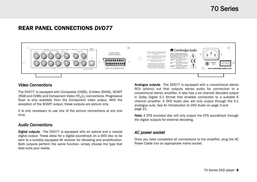### REAR PANEL CONNECTIONS *DVD77*



#### *Video Connections*

The DVD77 is equipped with Composite (CVBS), S-Video (SVHS), SCART (RGB and CVBS) and Component Video (YC<sub>b</sub>C<sub>r</sub>) connections. Progressive Scan is only available from the Component video output. With the exception of the SCART output, these outputs are picture only.

It is only necessary to use one of the picture connections at any one time.

#### *Audio Connections*

**Digital outputs** - The DVD77 is equipped with an optical and a coaxial digital output. These allow for a digital soundtrack on a DVD disc to be sent to a suitably equipped AV receiver for decoding and amplification. Both outputs perform the same function- simply choose the type that best suits your needs.

Analogue outputs -The DVD77 is equipped with a conventional stereo RCA (phono) out that outputs stereo audio for connection to a conventional stereo amplifier. It also has a six channel decoded output in Dolby Digital 5.1 format that enables connection to a suitable 6 channel amplifier. A DVD Audio disc will only output through the 5.1 analogue outs. See An Introduction to DVD Audio on page 3 and page 21.

Note: A DTS encoded disc will only output the DTS soundtrack through the digital outputs for external decoding.

#### *AC power socket*

Once you have completed all connections to the amplifier, plug the AC Power Cable into an appropriate mains socket.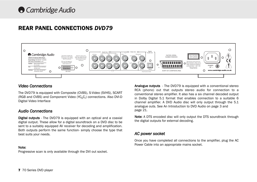### **Cambridge Audio**

### REAR PANEL CONNECTIONS *DVD79*



#### *Video Connections*

The DVD79 is equipped with Composite (CVBS), S-Video (SVHS), SCART (RGB and CVBS) and Component Video (YC<sub>b</sub>C<sub>r</sub>) connections. Also DVI-D Digital Video Interface

#### *Audio Connections*

Digital outputs - The DVD79 is equipped with an optical and a coaxial digital output. These allow for a digital soundtrack on a DVD disc to be sent to a suitably equipped AV receiver for decoding and amplification. Both outputs perform the same function- simply choose the type that best suits your needs.

#### Note:

Progressive scan is only available through the DVI out socket.

Analogue outputs - The DVD79 is equipped with a conventional stereo RCA (phono) out that outputs stereo audio for connection to a conventional stereo amplifier. It also has a six channel decoded output in Dolby Digital 5.1 format that enables connection to a suitable 6 channel amplifier. A DVD Audio disc will only output through the 5.1 analogue outs. See An Introduction to DVD Audio on page 3 and page 21.

Note: A DTS encoded disc will only output the DTS soundtrack through the digital outputs for external decoding.

#### *AC power socket*

Once you have completed all connections to the amplifier, plug the AC Power Cable into an appropriate mains socket.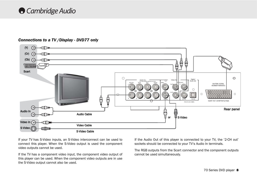### **O** Cambridge Audio



*Connections to a TV /Display - DVD77 only*

If your TV has S-Video inputs, an S-Video interconnect can be used to connect this player. When the S-Video output is used the component video outputs cannot be used.

If the TV has a component video input, the component video output of this player can be used. When the component video outputs are in use the S-Video output cannot also be used.

If the Audio Out of this player is connected to your TV, the '2-CH out' sockets should be connected to your TV's Audio In terminals.

The RGB outputs from the Scart connector and the component outputs cannot be used simultaneously.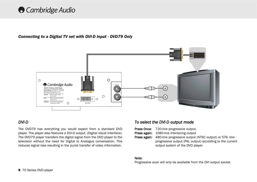

#### *Connecting to a Digital TV set with DVI-D input - DVD79 Only*



#### *DVI-D*

The DVD79 has everything you would expect from a standard DVD player. The player also features a DVI-D output. (Digital visual Interface). The DVD79 player transfers the digital signal from the DVD player to the television without the need for Digital to Analogue conversation. This reduces signal loss resulting in the purist transfer of video information.

#### *To select the DVI-D output mode*

- Press Once: 720-line progressive output.
- Press again: 1080-line interlacing output
- Press again: 480-line progressive output (NTSC output) or 576-line progressive output (PAL output) according to the current output system of the DVD player.

#### Note:

Progressive scan will only be available from the DVI output socket.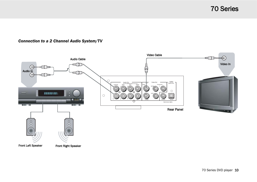#### *Connection to a 2 Channel Audio System/TV*

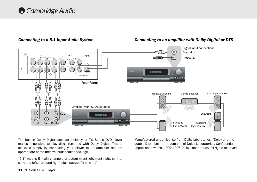### **O** Cambridge Audio

#### *Connecting to a 5.1 Input Audio System*

#### *Connecting to an amplifier with Dolby Digital or DTS*



The built-in Dolby Digital decoder inside your 70 Series DVD player makes it possible to play discs recorded with Dolby Digital. This is achieved simply by connecting your player to an amplifier and an appropriate home theatre loudspeaker package

"5.1" means 5 main channels of output (front left, front right, centre, surround left, surround right) plus subwoofer (the ".1").

Manufactured under license from Dolby laboratories. "Dolby and the double-D symbol are trademarks of Dolby Laboratories. Confidential unpublished works. 1992-1997 Dolby Laboratories. All rights reserved.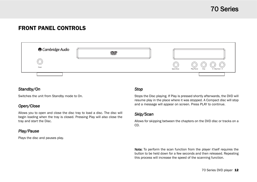### FRONT PANEL CONTROLS



#### *Standby/On*

Switches the unit from Standby mode to On.

#### *Open/Close*

Allows you to open and close the disc tray to load a disc. The disc will begin loading when the tray is closed. Pressing Play will also close the tray and start the Disc.

#### *Play/Pause*

Plays the disc and pauses play.

#### *Stop*

Stops the Disc playing. If Play is pressed shortly afterwards, the DVD will resume play in the place where it was stopped. A Compact disc will stop and a message will appear on screen. Press PLAY to continue.

#### *Skip/Scan*

Allows for skipping between the chapters on the DVD disc or tracks on a CD.

Note: To perform the scan function from the player it'self requires the button to be held down for a few seconds and then released. Repeating this process will increase the speed of the scanning function.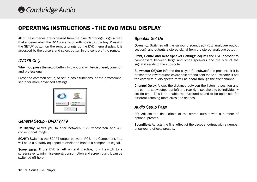### OPERATING INSTRUCTIONS - THE DVD MENU DISPLAY

All of these menus are accessed from the blue Cambridge Logo screen that appears when the DVD player is on with no disc in the tray. Pressing the SETUP button on the remote brings up the DVD menu display. It is accessed by the cursors and select button in the centre of the remote.

#### *DVD79 Only*

When you press the setup button two options will be displayed, common and professional.

Press the common setup, to setup basic functions, or the professional setup for more advanced settings.



#### *General Setup - DVD77/79*

TV Display: Allows you to alter between 16.9 widescreen and 4.3 conventional image.

SCART: Switches the SCART output between RGB and Component. You will need a suitably equipped television to handle a component signal.

Screensaver: If the DVD is left on and inactive, it will switch to a screensaver to minimise energy consumption and screen burn. It can be switched off here.

#### *Speaker Set Up*

Downmix: Switches off the surround soundtrack (5.1 analogue output section) and outputs a stereo signal from the stereo analogue output.

Front, Centre and Rear Speaker Settings: adjusts the DVD decoder to compensate between large and small speakers and the size of the signal it sends to the subwoofer.

Subwoofer Off/On: Informs the player if a subwoofer is present. If it is present the low frequencies are split off and sent to the subwoofer, if not the complete audio spectrum will be heard through the front channel.

Channel Delay: Allows the distance between the listening position and the centre, subwoofer, rear left and rear right speakers to be individually set (in cm). This is to enable the surround sound to be optimised for different listening room sizes and shapes.

#### *Audio Setup Page*

EQ: Adjusts the final effect of the stereo output with a number of optional presets.

Soundfield: Adjusts the final effect of the decoder output with a number of surround effects presets.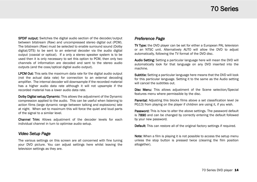SPDIF output: Switches the digital audio section of the decoder/output between bitstream (Raw) and uncompressed stereo digital out (PCM). The bitstream (Raw) must be selected to enable surround sound (Dolby digital/DTS) to be sent to an external decoder via the audio digital output (coaxial or optical). If a only a stereo speaker system is to be used then it is only necessary to set this option to PCM, then only two channels of information are decoded and sent to the stereo audio outputs (and the coax/optical digital audio output).

LPCM Out: This sets the maximum data rate for the digital audio output (not the actual data rate) for connection to an external decoding amplifier. The internal decoder will downsample if the recorded material has a higher audio data rate although it will not upsample if the recorded material has a lower audio data rate.

Dolby Digital setup/Dynamic: This allows the adjustment of the Dynamic compression applied to the audio. This can be useful when listening to action films (large dynamic range between talking and explosions) late at night. When set to maximum this will force the quiet and loud parts of the signal to a similar level.

**Channel Trim:** Allows adjustment of the decoder levels for each individual channel in turn to optimise audio setup.

#### *Video Setup Page*

The various settings on this screen are all concerned with fine tuning your DVD picture. You can adjust settings here whilst leaving the television settings as they are.

#### *Preference Page*

TV Type: the DVD player can be set for either a European PAL television or an NTSC unit. Alternatively AUTO will allow the DVD to adjust automatically, following the TV format of the DVD disc.

Audio Setting: Setting a particular language here will mean the DVD will automatically look for that language on any DVD inserted into the machine.

Subtitle: Setting a particular language here means that the DVD will look for this particular language. Setting it to the same as the Audio setting will cancel the subtitles out.

Disc Menu: This allows adjustment of the Scene selection/Special features menu where permissible by the disc.

Parental: Adjusting this blocks films above a set classification level (ie PG13) from playing on the player if children are using it, if you wish.

**Password:** This is how to alter the above settings. The password default is 7890 and can be changed by correctly entering the default followed by your new password.

Default: This can restore all of the original factory settings if required.

Note: When a film is playing it is not possible to access the setup menu unless the stop button is pressed twice (clearing the film position altogether).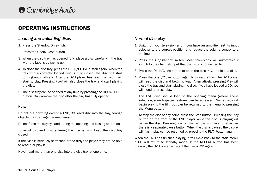### OPERATING INSTRUCTIONS

#### *Loading and unloading discs*

- 1. Press the Standby/On switch.
- 2. Press the Open/Close button.
- 3. When the disc tray has opened fully, place a disc carefully in the tray with the label side facing up.
- 4. To close the disc tray, press the OPEN/CLOSE button again. When the tray with a correctly loaded disc is fully closed, the disc will start turning automatically. After the DVD player has read the disc it will start to play. Pressing PLAY will also close the tray and start playing the disc.
- 5. The disc tray can be opened at any time by pressing the OPEN/CLOSE button. Only remove the disc after the tray has fully opened

#### Note:

Do not put anything except a DVD/CD sized disc into the tray, foreign objects may damage the mechanism.

Do not force the tray by hand during the opening and closing operations.

To avoid dirt and dust entering the mechanism, keep the disc tray closed.

If the Disc is seriously scratched or too dirty the player may not be able to read it or play it.

Never load more than one disc into the disc tray at one time.

#### *Normal disc play*

- 1. Switch on your television and if you have an amplifier, set its input selector to the correct position and reduce the volume control to a minimum.
- 2. Press the On/Standby switch. Most televisions will automatically switch to the channel/input that the DVD is connected to.
- 3. Press the Open/Close button to open the disc tray, and load a disc.
- 4. Press the Open/Close button again to close the tray. The DVD player will read the disc and begin to load. Alternatively, pressing Play will close the tray and start playing the disc. If you have loaded a CD, you will need to press play.
- 5. The DVD disc should load to the opening menu (where scene selection, sound/special features can be accessed). Some discs will begin playing the film but can be returned to the menu by pressing the Menu button.
- 6. To stop the disc at any point, press the Stop button. Pressing the Play button on the front of the DVD player while the disc is playing will pause the disc. Pressing play on the remote will have no effect as there is a separate pause button. When the disc is paused the display will flash, play can be resumed by pressing the PLAY button again.

When the DVD has finished playing, it will cycle back to the start menu, a CD will return to standby mode. If the REPEAT button has been pressed, the DVD player will start the film or CD again.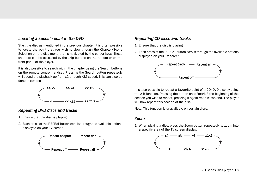#### *Locating a specific point in the DVD*

Start the disc as mentioned in the previous chapter. It is often possible to locate the point that you wish to view through the Chapter/Scene Selection on the disc menu that is navigated by the cursor keys. These chapters can be accessed by the skip buttons on the remote or on the front panel of the player.

It is also possible to search within the chapter using the Search buttons on the remote control handset. Pressing the Search button repeatedly will speed the playback up from x2 through x32 speed. This can also be done in reverse



#### *Repeating DVD discs and tracks*

- 1. Ensure that the disc is playing.
- 2. Each press of the REPEAT button scrolls through the available options displayed on your TV screen.



#### *Repeating CD discs and tracks*

- 1. Ensure that the disc is playing.
- 2. Each press of the REPEAT button scrolls through the available options displayed on your TV screen.



It is also possible to repeat a favourite point of a CD/DVD disc by using the A-B function. Pressing the button once "marks" the beginning of the section you wish to repeat, pressing it again "marks" the end. The player will now repeat this section of the disc.

Note: This function is unavailable on certain discs.

#### *Zoom*

1. When playing a disc, press the Zoom button repeatedly to zoom into a specific area of the TV screen display.

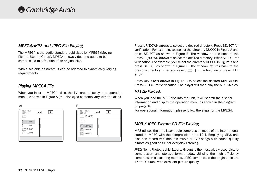### **Cambridge Audio**

#### *MPEG4/MP3 and JPEG File Playing*

The MPEG4 is the audio standard publicised by MPEG4 (Moving Picture Experts Group). MPEG4 allows video and audio to be compressed to a fraction of its original size.

With a scalable bitstream, it can be adapted to dynamically varying requirements.

#### *Playing MPEG4 File*

When you insert a MPEG4 disc, the TV screen displays the operation menu as shown in Figure A (the displayed contents vary with the disc.)





Press UP/DOWN arrows to select the desired directory. Press SELECT for verification. For example, you select the directory DU000 in Figure A and press SELECT as shown in Figure B. The window returns back to the Press UP/DOWN arrows to select the desired directory. Press SELECT for verification. For example, you select the directory DU000 in Figure A and press SELECT as shown in Figure B. The window returns back to the previous directory when you select  $[\Box]$ . I in the first line or press LEFT arrow.

Press UP/DOWN arrows in Figure B to select the desired MPEG4 file. Press SELECT for verification. The player will then play the MPEG4 files.

#### *MP3 file Playback*

When you load the MP3 disc into the unit, it will search the disc for information and display the operation menu as shown in the diagram on page 18.

For operational information, please follow the steps for the MPEG4.

### *MP3 / JPEG Picture CD File Playing*

MP3 utilises the third layer audio compression mode of the international standard MPEG with the compression ratio 12:1. Employing MP3, one disc can record 600-minutes music or 170 songs with sound quality almost as good as CD for everyday listening.

JPEG (Joint Photographic Experts Group) is the most widely used picture compression and storage format today. Utilising the high efficiency compression calculating method, JPEG compresses the original picture 15 to 20 times with excellent picture quality.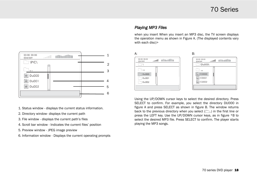

when you insert When you insert an MP3 disc, the TV screen displays the operation menu as shown in Figure A. (The displayed contents vary with each disc)>



- 1. Status window displays the current status information.
- 2. Directory window- displays the current path
- 3. File window displays the current path's files
- 4. Scroll bar window Indicates the current files' position
- 5. Preview window JPEG image preview
- 6. Information window Displays the current operating prompts



| 00:00 00:00<br>004/369    | and in the Ultima |
|---------------------------|-------------------|
| \Du000\                   |                   |
|                           |                   |
| $\sqrt{2}$ CD000          |                   |
| <b>A</b> CD001<br>G CD002 |                   |
|                           |                   |

Using the UP/DOWN cursor keys to select the desired directory. Press SELECT to confirm. For example, you select the directory DU000 in figure A and press SELECT as shown in figure B. The window returns back to the previous directory when you select  $(\Box)$ . in the first line or press the LEFT key. Use the UP/DOWN cursor keys, as in figure \*B to select the desired MP3 file. Press SELECT to confirm. The player starts playing the MP3 songs.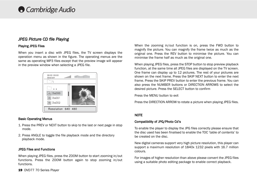### **O** Cambridge Audio

#### *JPEG Picture CD file Playing*

#### Playing JPEG Files

When you insert a disc with JPEG files, the TV screen displays the operation menu as shown in the figure. The operating menus are the same as operating MP3 files except that the preview image will appear in the preview window when selecting a JPEG file.



#### Basic Operating Menus

- 1. Press the PREV or NEXT button to skip to the last or next page in stop mode.
- 2. Press ANGLE to toggle the file playback mode and the directory playback mode.

#### JPEG Files and Functions

When playing JPEG files, press the ZOOM button to start zooming in/out functions. Press the ZOOM button again to stop zooming in/out functions.

When the zooming in/out function is on, press the FWD button to magnify the picture. You can magnify the frame twice as much as the original one. Press the REV button to minimise the picture. You can minimise the frame half as much as the original one.

When playing JPEG files, press the STOP button to stop preview playback function, at the same time all JPEG files are displayed on the TV screen. One frame can display up to 12 pictures. The rest of your pictures are shown on the next frame. Press the SKIP NEXT button to enter the next frame. Press the SKIP PREV button to enter the previous frame. You can also press the NUMBER buttons or DIRECTION ARROWS to select the desired picture. Press the SELECT button to confirm

Press the MENU button to exit

Press the DIRECTION ARROW to rotate a picture when playing JPEG files.

#### NOTE

#### Compatibility of JPG/Photo Cd's

To enable the player to display the JPG files correctly please ensure that the disc used has been finalised to enable the TOC 'table of contents' to be created on the disc.

New digital cameras support very high picture resolution, this player can support a maximum resolution of 1840x 1232 pixels with 16.7 million colours.

For images of higher resolution than above please convert the JPEG files using a suitable photo editing package to enable correct playback.

19 DVD77 70 Series Player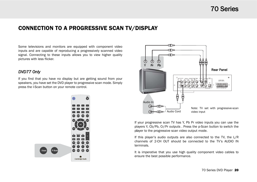### CONNECTION TO A PROGRESSIVE SCAN TV/DISPLAY

Some televisions and monitors are equipped with component video inputs and are capable of reproducing a progressively scanned video signal. Connecting to these inputs allows you to view higher quality pictures with less flicker.

#### *DVD77 Only*

If you find that you have no display but are getting sound from your speakers, you have set the DVD player to progressive scan mode. Simply press the I-Scan button on your remote control.





If your progressive scan TV has Y, Pb Pr video inputs you can use the players Y, Cb/Pb, Cr/Pr outputs . Press the p-Scan button to switch the player to the progressive scan video output mode.

If this player's audio outputs are also connected to the TV, the L/R channels of 2-CH OUT should be connected to the TV's AUDIO IN terminals.

It is imperative that you use high quality component video cables to ensure the best possible performance.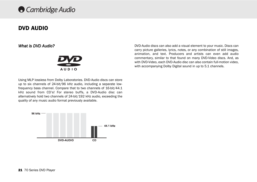### **Cambridge Audio**

### DVD AUDIO

#### *What is DVD Audio?*



Using MLP lossless from Dolby Laboratories. DVD-Audio discs can store up to six channels of 24-bit/96 kHz audio, including a separate lowfrequency bass channel. Compare that to two channels of 16-bit/44.1 kHz sound from CD's! For stereo buffs, a DVD-Audio disc can alternatively hold two channels of 24-bit/192 kHz audio, exceeding the quality of any music audio format previously available.



DVD-Audio discs can also add a visual element to your music. Discs can carry picture galleries, lyrics, notes, or any combination of still images, animation, and text. Producers and artists can even add audio commentary, similar to that found on many DVD-Video discs. And, as with DVD-Video, each DVD-Audio disc can also contain full-motion video, with accompanying Dolby Digital sound in up to 5.1 channels.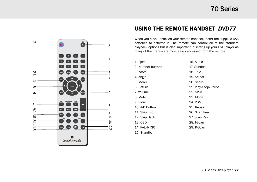

### USING THE REMOTE HANDSET- *DVD77*

When you have unpacked your remote handset, insert the supplied AAA batteries to activate it. The remote can control all of the standard playback options but is also important in setting up your DVD player as many of the menus are most easily accessed from the remote.

| 1. Eject          | 16. Audio           |  |
|-------------------|---------------------|--|
| 2. Number buttons | 17. Subtitle        |  |
| 3. Zoom           | 18. Title           |  |
| 4. Angle          | 19. Select          |  |
| 5. Menu           | 20. Setup           |  |
| 6. Return         | 21. Play/Stop/Pause |  |
| 7. Volume         | 22. Slow            |  |
| 8. Mute           | 23. Mode            |  |
| 9. Clear          | 24. PSM             |  |
| 10. A-B Button    | 25. Repeat          |  |
| 11. Skip Fwd      | 26. Scan Prev       |  |
| 12. Skip Back     | 27. Scan Rev        |  |
| 13.0SD            | 28. I-Scan          |  |
| 14. PAL/NTSC      | 29. P-Scan          |  |
| 15. Standby       |                     |  |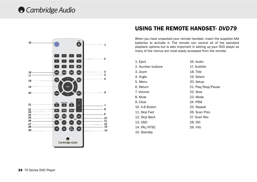### **O** Cambridge Audio



### USING THE REMOTE HANDSET- *DVD79*

When you have unpacked your remote handset, insert the supplied AAA batteries to activate it. The remote can control all of the standard playback options but is also important in setting up your DVD player as many of the menus are most easily accessed from the remote.

| 1. Eject          | 16. Audio           |  |
|-------------------|---------------------|--|
| 2. Number buttons | 17. Subtitle        |  |
| 3. Zoom           | 18. Title           |  |
| 4. Angle          | 19. Select          |  |
| 5. Menu           | 20. Setup           |  |
| 6. Return         | 21. Play/Stop/Pause |  |
| 7. Volume         | 22. Slow            |  |
| 8. Mute           | 23. Mode            |  |
| 9. Clear          | 24. PSM             |  |
| 10. A-B Button    | 25. Repeat          |  |
| 11. Skip Fwd      | 26. Scan Prev       |  |
| 12. Skip Back     | 27. Scan Rev        |  |
| 13. OSD           | 28. DVI             |  |
| 14. PAL/NTSC      | $29.$ Info          |  |
| 15. Standby       |                     |  |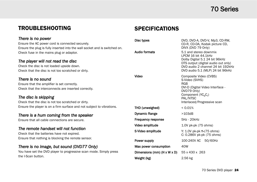### TROUBLESHOOTING SPECIFICATIONS

| There is no power                                                                        | Disc types                              | DVD, DVD-A, DVD-V, Mp3, CD-RW,                                        |
|------------------------------------------------------------------------------------------|-----------------------------------------|-----------------------------------------------------------------------|
| Ensure the AC power cord is connected securely.                                          |                                         | CD-R, CD-DA, Kodak picture CD,                                        |
| Ensure the plug is fully inserted into the wall socket and is switched on.               |                                         | DIVX (DVD 79 Only)                                                    |
| Check fuse in the mains plug or adaptor.                                                 | <b>Audio formats</b>                    | 5.1 and stereo downmix<br>LPCM 16 bit 44.1kHz                         |
| The player will not read the disc                                                        |                                         | Dolby Digital 5.1 24 bit 96kHz<br>DTS output (digital audio out only) |
| Check the disc is not loaded upside down.                                                |                                         | DVD audio 2 channel 24 bit 192kHz                                     |
| Check that the disc is not too scratched or dirty.                                       |                                         | DVD audio 5.1 (MLP) 24 bit 96kHz                                      |
| There is no sound                                                                        | Video                                   | Composite Video (CVBS)<br>S-Video (SVHS)                              |
| Ensure that the amplifier is set correctly.                                              |                                         | <b>RGB</b>                                                            |
| Check that the interconnects are inserted correctly.                                     |                                         | DVI-D (Digital Video Interface -<br>DVD79 Only)                       |
| The disc is skipping                                                                     |                                         | Component (YC <sub>b</sub> C <sub>r</sub> )<br>PAL/NTSC               |
| Check that the disc is not too scratched or dirty.                                       |                                         | Interlaced/Progressive scan                                           |
| Ensure the player is on a firm surface and not subject to vibrations.                    | THD (unweighed)                         | < 0.01%                                                               |
| There is a hum coming from the speaker                                                   | <b>Dynamic Range</b>                    | >103dB                                                                |
| Ensure that all cable connections are secure.                                            | <b>Frequency response</b>               | 5Hz - 20kHz                                                           |
|                                                                                          | Video amplitude                         | $1.0V$ pk-pk (75 ohms)                                                |
| The remote handset will not function<br>Check that the batteries have not expired.       | S-Video amplitude                       | Y: 1.0V pk-pk $\frac{n}{75}$ ohms)<br>C: 0.286V pk-pk (75 ohms)       |
| Ensure that nothing is blocking the remote sensor.                                       | Power supply                            | 100-240V AC 50/60Hz                                                   |
| There is no image, but sound (DVD77 Only)                                                | Max power consumption                   | 40W                                                                   |
| You have set the DVD player to progressive scan mode. Simply press<br>the I-Scan button. | Dimensions (mm) $(H \times W \times D)$ | 55 x 430 x 263                                                        |
|                                                                                          | Weight (kg)                             | 2.56 kg                                                               |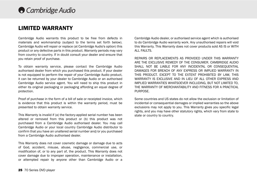### LIMITED WARRANTY

Cambridge Audio warrants this product to be free from defects in materials and workmanship (subject to the terms set forth below). Cambridge Audio will repair or replace (at Cambridge Audio's option) this product or any defective parts in this product. Warranty periods may vary from country to country. If in doubt consult your dealer and ensure that you retain proof of purchase.

To obtain warranty service, please contact the Cambridge Audio authorised dealer from which you purchased this product. If your dealer is not equipped to perform the repair of your Cambridge Audio product, it can be returned by your dealer to Cambridge Audio or an authorised Cambridge Audio service agent. You will need to ship this product in either its original packaging or packaging affording an equal degree of protection.

Proof of purchase in the form of a bill of sale or receipted invoice, which is evidence that this product is within the warranty period, must be presented to obtain warranty service.

This Warranty is invalid if (a) the factory-applied serial number has been altered or removed from this product or (b) this product was not purchased from a Cambridge Audio authorised dealer. You may call Cambridge Audio or your local country Cambridge Audio distributor to confirm that you have an unaltered serial number and/or you purchased from a Cambridge Audio authorised dealer.

This Warranty does not cover cosmetic damage or damage due to acts of God, accident, misuse, abuse, negligence, commercial use, or modification of, or to any part of, the product. This Warranty does not cover damage due to improper operation, maintenance or installation, or attempted repair by anyone other than Cambridge Audio or a

Cambridge Audio dealer, or authorised service agent which is authorised to do Cambridge Audio warranty work. Any unauthorised repairs will void this Warranty. This Warranty does not cover products sold AS IS or WITH ALL FAULTS.

REPAIRS OR REPLACEMENTS AS PROVIDED UNDER THIS WARRANTY ARE THE EXCLUSIVE REMEDY OF THE CONSUMER. CAMBRIDGE AUDIO SHALL NOT BE LIABLE FOR ANY INCIDENTAL OR CONSEQUENTIAL DAMAGES FOR BREACH OF ANY EXPRESS OR IMPLIED WARRANTY IN THIS PRODUCT. EXCEPT TO THE EXTENT PROHIBITED BY LAW, THIS WARRANTY IS EXCLUSIVE AND IN LIEU OF ALL OTHER EXPRESS AND IMPLIED WARRANTIES WHATSOEVER INCLUDING, BUT NOT LIMITED TO, THE WARRANTY OF MERCHANTABILITY AND FITNESS FOR A PRACTICAL PURPOSE.

Some countries and US states do not allow the exclusion or limitation of incidental or consequential damages or implied warranties so the above exclusions may not apply to you. This Warranty gives you specific legal rights, and you may have other statutory rights, which vary from state to state or country to country.